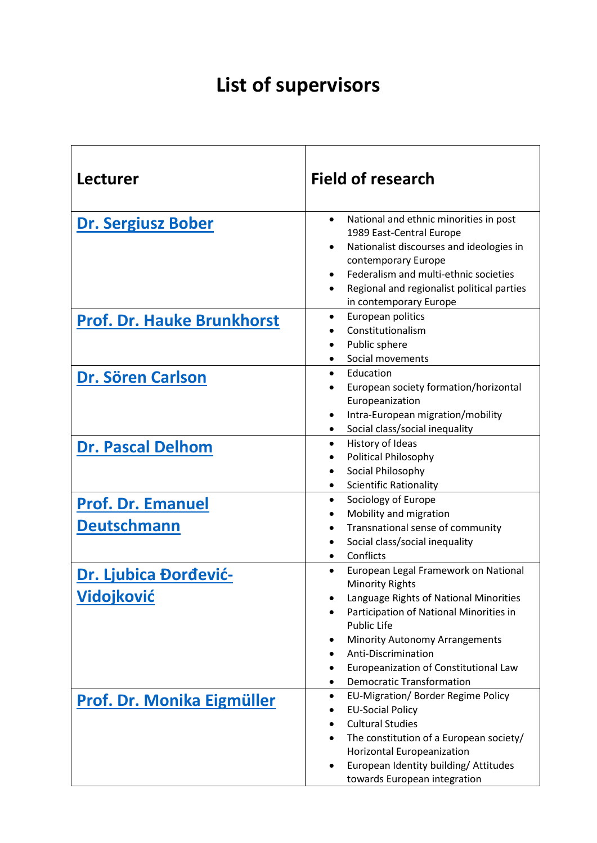## **List of supervisors**

| <b>Lecturer</b>                                | <b>Field of research</b>                                                                                                                                                                                                                                                                                                    |
|------------------------------------------------|-----------------------------------------------------------------------------------------------------------------------------------------------------------------------------------------------------------------------------------------------------------------------------------------------------------------------------|
| <b>Dr. Sergiusz Bober</b>                      | National and ethnic minorities in post<br>$\bullet$<br>1989 East-Central Europe<br>Nationalist discourses and ideologies in<br>$\bullet$<br>contemporary Europe<br>Federalism and multi-ethnic societies<br>٠<br>Regional and regionalist political parties<br>$\bullet$<br>in contemporary Europe                          |
| <b>Prof. Dr. Hauke Brunkhorst</b>              | European politics<br>٠<br>Constitutionalism<br>Public sphere<br>Social movements<br>٠                                                                                                                                                                                                                                       |
| Dr. Sören Carlson                              | Education<br>$\bullet$<br>European society formation/horizontal<br>Europeanization<br>Intra-European migration/mobility<br>$\bullet$<br>Social class/social inequality                                                                                                                                                      |
| <b>Dr. Pascal Delhom</b>                       | History of Ideas<br>$\bullet$<br>Political Philosophy<br>Social Philosophy<br><b>Scientific Rationality</b><br>٠                                                                                                                                                                                                            |
| <b>Prof. Dr. Emanuel</b><br><b>Deutschmann</b> | Sociology of Europe<br>$\bullet$<br>Mobility and migration<br>Transnational sense of community<br>Social class/social inequality<br>٠<br>Conflicts<br>$\bullet$                                                                                                                                                             |
| Dr. Ljubica Đorđević-<br>Vidojković            | European Legal Framework on National<br><b>Minority Rights</b><br>Language Rights of National Minorities<br>Participation of National Minorities in<br><b>Public Life</b><br><b>Minority Autonomy Arrangements</b><br>٠<br>Anti-Discrimination<br>Europeanization of Constitutional Law<br><b>Democratic Transformation</b> |
| Prof. Dr. Monika Eigmüller                     | EU-Migration/ Border Regime Policy<br>٠<br><b>EU-Social Policy</b><br><b>Cultural Studies</b><br>The constitution of a European society/<br>Horizontal Europeanization<br>European Identity building/ Attitudes<br>towards European integration                                                                             |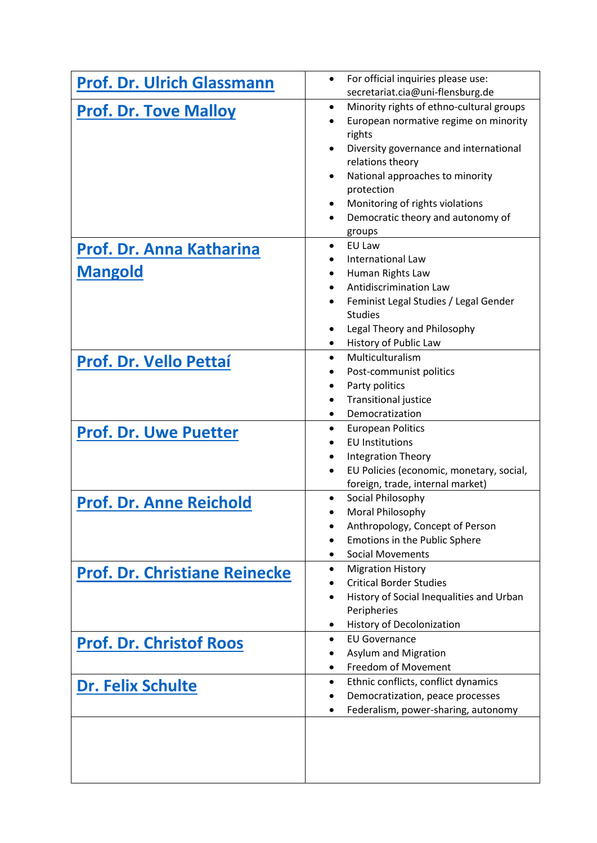| <b>Prof. Dr. Ulrich Glassmann</b>    | For official inquiries please use:<br>secretariat.cia@uni-flensburg.de |
|--------------------------------------|------------------------------------------------------------------------|
| <b>Prof. Dr. Tove Malloy</b>         | Minority rights of ethno-cultural groups<br>$\bullet$                  |
|                                      | European normative regime on minority                                  |
|                                      | rights                                                                 |
|                                      | Diversity governance and international                                 |
|                                      | relations theory                                                       |
|                                      | National approaches to minority<br>$\bullet$                           |
|                                      | protection<br>Monitoring of rights violations                          |
|                                      | Democratic theory and autonomy of<br>$\bullet$                         |
|                                      | groups                                                                 |
| Prof. Dr. Anna Katharina             | EU Law<br>$\bullet$                                                    |
|                                      | <b>International Law</b>                                               |
| <b>Mangold</b>                       | Human Rights Law<br>٠                                                  |
|                                      | <b>Antidiscrimination Law</b>                                          |
|                                      | Feminist Legal Studies / Legal Gender<br>$\bullet$                     |
|                                      | <b>Studies</b>                                                         |
|                                      | Legal Theory and Philosophy                                            |
|                                      | History of Public Law<br>٠                                             |
| <b>Prof. Dr. Vello Pettaí</b>        | Multiculturalism<br>$\bullet$                                          |
|                                      | Post-communist politics<br>Party politics<br>$\bullet$                 |
|                                      | <b>Transitional justice</b><br>$\bullet$                               |
|                                      | Democratization                                                        |
|                                      | <b>European Politics</b><br>٠                                          |
| <b>Prof. Dr. Uwe Puetter</b>         | <b>EU Institutions</b>                                                 |
|                                      | <b>Integration Theory</b><br>$\bullet$                                 |
|                                      | EU Policies (economic, monetary, social,<br>$\bullet$                  |
|                                      | foreign, trade, internal market)                                       |
| <b>Prof. Dr. Anne Reichold</b>       | Social Philosophy<br>٠                                                 |
|                                      | Moral Philosophy<br>$\bullet$                                          |
|                                      | Anthropology, Concept of Person                                        |
|                                      | Emotions in the Public Sphere<br><b>Social Movements</b><br>$\bullet$  |
|                                      | <b>Migration History</b><br>٠                                          |
| <b>Prof. Dr. Christiane Reinecke</b> | <b>Critical Border Studies</b>                                         |
|                                      | History of Social Inequalities and Urban                               |
|                                      | Peripheries                                                            |
|                                      | History of Decolonization<br>٠                                         |
| <b>Prof. Dr. Christof Roos</b>       | <b>EU Governance</b><br>$\bullet$                                      |
|                                      | Asylum and Migration                                                   |
|                                      | Freedom of Movement<br>$\bullet$                                       |
| <b>Dr. Felix Schulte</b>             | Ethnic conflicts, conflict dynamics<br>$\bullet$                       |
|                                      | Democratization, peace processes                                       |
|                                      | Federalism, power-sharing, autonomy<br>٠                               |
|                                      |                                                                        |
|                                      |                                                                        |
|                                      |                                                                        |
|                                      |                                                                        |